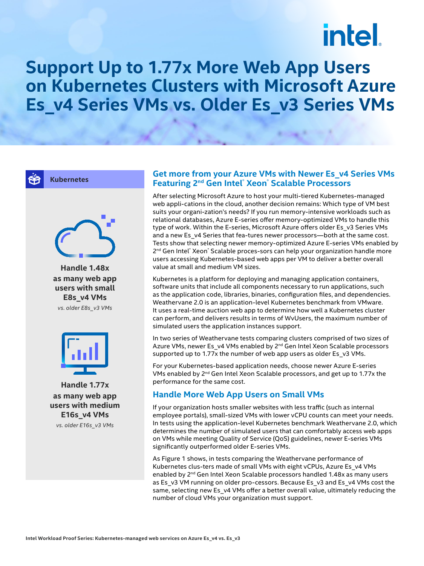# intel.

# **Support Up to 1.77x More Web App Users on Kubernetes Clusters with Microsoft Azure Es\_v4 Series VMs vs. Older Es\_v3 Series VMs**

**Kubernetes**



**Handle 1.48x as many web app users with small E8s\_v4 VMs** *vs. older E8s\_v3 VMs*



**Handle 1.77x as many web app users with medium E16s\_v4 VMs** *vs. older E16s\_v3 VMs*

#### **Get more from your Azure VMs with Newer Es\_v4 Series VMs Featuring 2nd Gen Intel® Xeon® Scalable Processors**

After selecting Microsoft Azure to host your multi-tiered Kubernetes-managed web appli-cations in the cloud, another decision remains: Which type of VM best suits your organi-zation's needs? If you run memory-intensive workloads such as relational databases, Azure E-series offer memory-optimized VMs to handle this type of work. Within the E-series, Microsoft Azure offers older Es\_v3 Series VMs and a new Es\_v4 Series that fea-tures newer processors—both at the same cost. Tests show that selecting newer memory-optimized Azure E-series VMs enabled by 2<sup>nd</sup> Gen Intel® Xeon® Scalable proces-sors can help your organization handle more users accessing Kubernetes-based web apps per VM to deliver a better overall value at small and medium VM sizes.

Kubernetes is a platform for deploying and managing application containers, software units that include all components necessary to run applications, such as the application code, libraries, binaries, configuration files, and dependencies. Weathervane 2.0 is an application-level Kubernetes benchmark from VMware. It uses a real-time auction web app to determine how well a Kubernetes cluster can perform, and delivers results in terms of WvUsers, the maximum number of simulated users the application instances support.

In two series of Weathervane tests comparing clusters comprised of two sizes of Azure VMs, newer Es\_v4 VMs enabled by 2<sup>nd</sup> Gen Intel Xeon Scalable processors supported up to 1.77x the number of web app users as older Es\_v3 VMs.

For your Kubernetes-based application needs, choose newer Azure E-series VMs enabled by 2nd Gen Intel Xeon Scalable processors, and get up to 1.77x the performance for the same cost.

### **Handle More Web App Users on Small VMs**

If your organization hosts smaller websites with less traffic (such as internal employee portals), small-sized VMs with lower vCPU counts can meet your needs. In tests using the application-level Kubernetes benchmark Weathervane 2.0, which determines the number of simulated users that can comfortably access web apps on VMs while meeting Quality of Service (QoS) guidelines, newer E-series VMs significantly outperformed older E-series VMs.

As Figure 1 shows, in tests comparing the Weathervane performance of Kubernetes clus-ters made of small VMs with eight vCPUs, Azure Es\_v4 VMs enabled by 2<sup>nd</sup> Gen Intel Xeon Scalable processors handled 1.48x as many users as Es\_v3 VM running on older pro-cessors. Because Es\_v3 and Es\_v4 VMs cost the same, selecting new Es\_v4 VMs offer a better overall value, ultimately reducing the number of cloud VMs your organization must support.